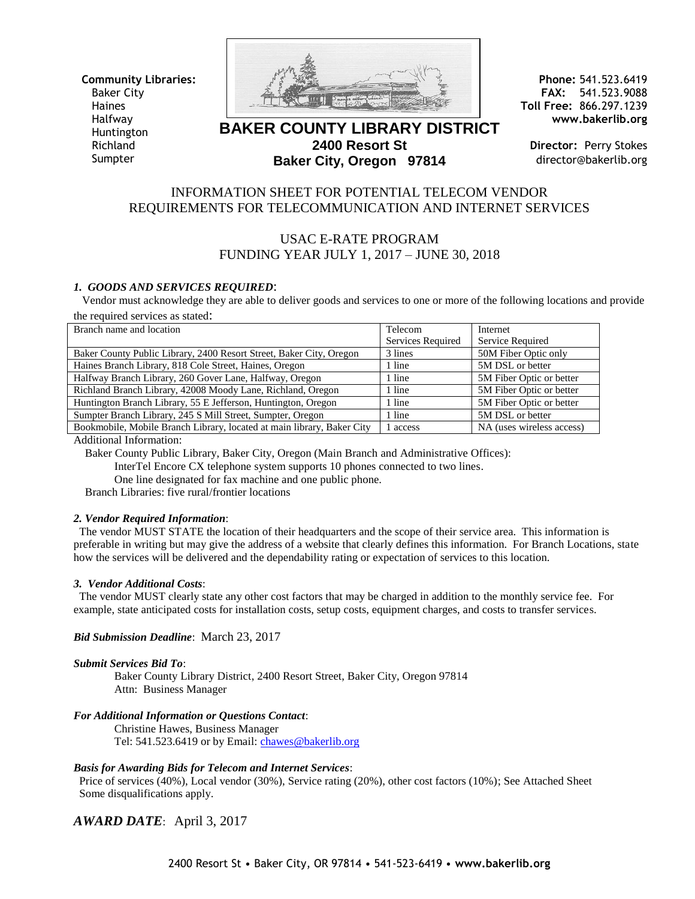**Community Libraries:**  Baker City **Haines** Halfway Huntington Richland Sumpter



**BAKER COUNTY LIBRARY DISTRICT 2400 Resort St Baker City, Oregon 97814**

**Phone:** 541.523.6419 **FAX:** 541.523.9088 **Toll Free:** 866.297.1239 **www.bakerlib.org**

**Director:** Perry Stokes director@bakerlib.org

## INFORMATION SHEET FOR POTENTIAL TELECOM VENDOR REQUIREMENTS FOR TELECOMMUNICATION AND INTERNET SERVICES

# USAC E-RATE PROGRAM FUNDING YEAR JULY 1, 2017 – JUNE 30, 2018

### *1. GOODS AND SERVICES REQUIRED*:

 Vendor must acknowledge they are able to deliver goods and services to one or more of the following locations and provide the required services as stated:

| Branch name and location                                               | Telecom           | Internet                  |
|------------------------------------------------------------------------|-------------------|---------------------------|
|                                                                        | Services Required | Service Required          |
| Baker County Public Library, 2400 Resort Street, Baker City, Oregon    | 3 lines           | 50M Fiber Optic only      |
| Haines Branch Library, 818 Cole Street, Haines, Oregon                 | 1 line            | 5M DSL or better          |
| Halfway Branch Library, 260 Gover Lane, Halfway, Oregon                | 1 line            | 5M Fiber Optic or better  |
| Richland Branch Library, 42008 Moody Lane, Richland, Oregon            | 1 line            | 5M Fiber Optic or better  |
| Huntington Branch Library, 55 E Jefferson, Huntington, Oregon          | 1 line            | 5M Fiber Optic or better  |
| Sumpter Branch Library, 245 S Mill Street, Sumpter, Oregon             | 1 line            | 5M DSL or better          |
| Bookmobile, Mobile Branch Library, located at main library, Baker City | access            | NA (uses wireless access) |

Additional Information:

Baker County Public Library, Baker City, Oregon (Main Branch and Administrative Offices):

InterTel Encore CX telephone system supports 10 phones connected to two lines.

One line designated for fax machine and one public phone.

Branch Libraries: five rural/frontier locations

#### *2. Vendor Required Information*:

 The vendor MUST STATE the location of their headquarters and the scope of their service area. This information is preferable in writing but may give the address of a website that clearly defines this information. For Branch Locations, state how the services will be delivered and the dependability rating or expectation of services to this location.

#### *3. Vendor Additional Costs*:

 The vendor MUST clearly state any other cost factors that may be charged in addition to the monthly service fee. For example, state anticipated costs for installation costs, setup costs, equipment charges, and costs to transfer services.

#### *Bid Submission Deadline*: March 23, 2017

#### *Submit Services Bid To*:

Baker County Library District, 2400 Resort Street, Baker City, Oregon 97814 Attn: Business Manager

#### *For Additional Information or Questions Contact*:

Christine Hawes, Business Manager Tel: 541.523.6419 or by Email: *chawes@bakerlib.org* 

### *Basis for Awarding Bids for Telecom and Internet Services*:

 Price of services (40%), Local vendor (30%), Service rating (20%), other cost factors (10%); See Attached Sheet Some disqualifications apply.

*AWARD DATE*: April 3, 2017